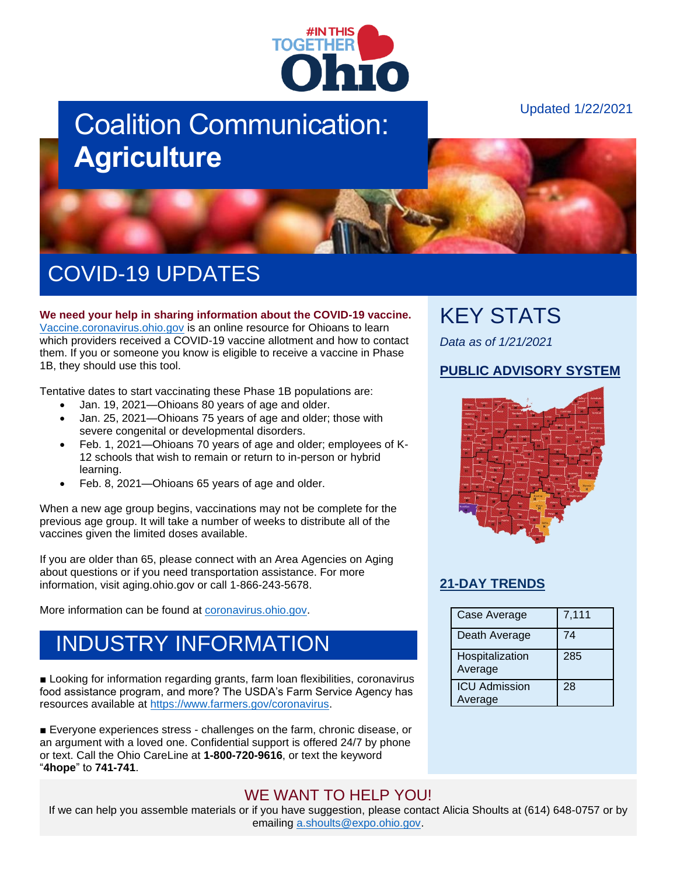

# Coalition Communication: **Agriculture**

Updated 1/22/2021



# COVID-19 UPDATES

**We need your help in sharing information about the COVID-19 vaccine.** [Vaccine.coronavirus.ohio.gov](https://vaccine.coronavirus.ohio.gov/) is an online resource for Ohioans to learn which providers received a COVID-19 vaccine allotment and how to contact them. If you or someone you know is eligible to receive a vaccine in Phase 1B, they should use this tool.

Tentative dates to start vaccinating these Phase 1B populations are:

- Jan. 19, 2021—Ohioans 80 years of age and older.
- Jan. 25, 2021—Ohioans 75 years of age and older; those with severe congenital or developmental disorders.
- Feb. 1, 2021—Ohioans 70 years of age and older; employees of K-12 schools that wish to remain or return to in-person or hybrid learning.
- Feb. 8, 2021—Ohioans 65 years of age and older.

When a new age group begins, vaccinations may not be complete for the previous age group. It will take a number of weeks to distribute all of the vaccines given the limited doses available.

If you are older than 65, please connect with an Area Agencies on Aging about questions or if you need transportation assistance. For more information, visit aging.ohio.gov or call 1-866-243-5678.

More information can be found at [coronavirus.ohio.gov.](https://coronavirus.ohio.gov/wps/portal/gov/covid-19/covid-19-vaccination-program)

### INDUSTRY INFORMATION

■ Looking for information regarding grants, farm loan flexibilities, coronavirus food assistance program, and more? The USDA's Farm Service Agency has resources available at [https://www.farmers.gov/coronavirus.](https://www.farmers.gov/coronavirus)

■ Everyone experiences stress - challenges on the farm, chronic disease, or an argument with a loved one. Confidential support is offered 24/7 by phone or text. Call the Ohio CareLine at **1-800-720-9616**, or text the keyword "**4hope**" to **741-741**.

#### WE WANT TO HELP YOU!

If we can help you assemble materials or if you have suggestion, please contact Alicia Shoults at (614) 648-0757 or by emailing [a.shoults@expo.ohio.gov.](mailto:a.shoults@expo.ohio.gov)

### KEY STATS

*Data as of 1/21/2021*

#### **[PUBLIC ADVISORY SYSTEM](https://coronavirus.ohio.gov/wps/portal/gov/covid-19/public-health-advisory-system)**



#### **[21-DAY TRENDS](https://coronavirus.ohio.gov/wps/portal/gov/covid-19/dashboards/current-trends)**

| Case Average                    | 7,111 |
|---------------------------------|-------|
| Death Average                   | 74    |
| Hospitalization<br>Average      | 285   |
| <b>ICU Admission</b><br>Average | 28    |